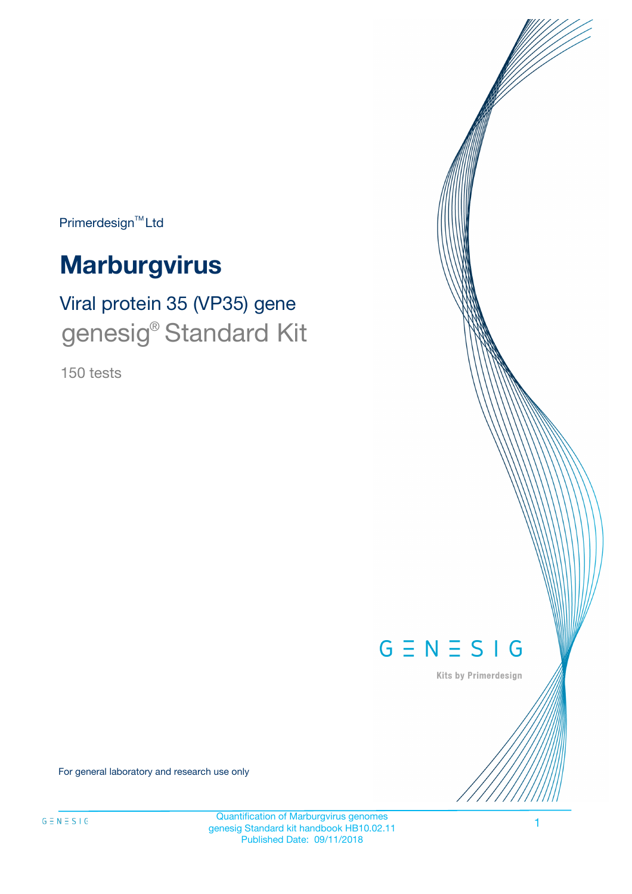Primerdesign<sup>™</sup>Ltd

# **Marburgvirus**

# Viral protein 35 (VP35) gene genesig<sup>®</sup> Standard Kit

150 tests



Kits by Primerdesign

For general laboratory and research use only

Quantification of Marburgvirus genomes genesig Standard kit handbook HB10.02.11 Published Date: 09/11/2018

1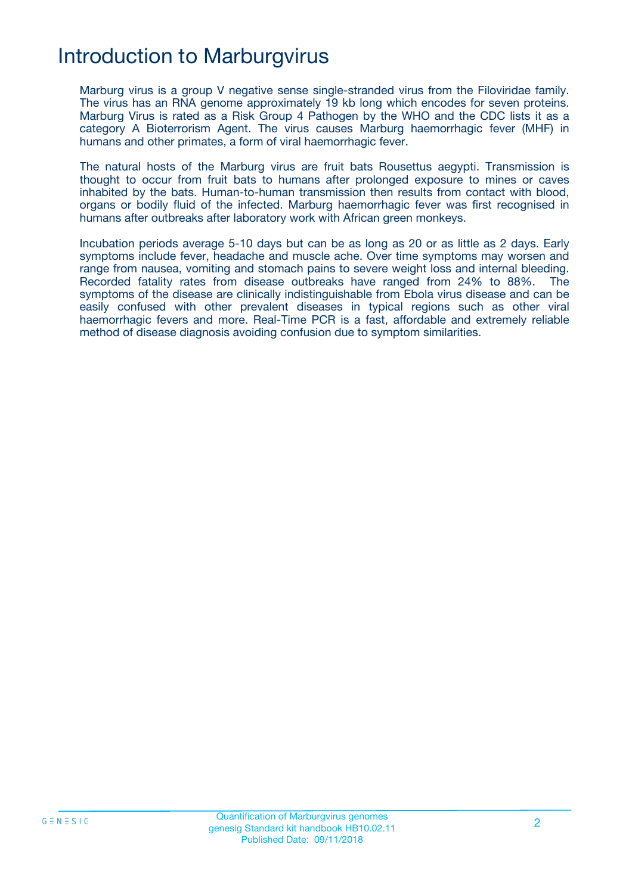## Introduction to Marburgvirus

Marburg virus is a group V negative sense single-stranded virus from the Filoviridae family. The virus has an RNA genome approximately 19 kb long which encodes for seven proteins. Marburg Virus is rated as a Risk Group 4 Pathogen by the WHO and the CDC lists it as a category A Bioterrorism Agent. The virus causes Marburg haemorrhagic fever (MHF) in humans and other primates, a form of viral haemorrhagic fever.

The natural hosts of the Marburg virus are fruit bats Rousettus aegypti. Transmission is thought to occur from fruit bats to humans after prolonged exposure to mines or caves inhabited by the bats. Human-to-human transmission then results from contact with blood, organs or bodily fluid of the infected. Marburg haemorrhagic fever was first recognised in humans after outbreaks after laboratory work with African green monkeys.

Incubation periods average 5-10 days but can be as long as 20 or as little as 2 days. Early symptoms include fever, headache and muscle ache. Over time symptoms may worsen and range from nausea, vomiting and stomach pains to severe weight loss and internal bleeding. Recorded fatality rates from disease outbreaks have ranged from 24% to 88%. The symptoms of the disease are clinically indistinguishable from Ebola virus disease and can be easily confused with other prevalent diseases in typical regions such as other viral haemorrhagic fevers and more. Real-Time PCR is a fast, affordable and extremely reliable method of disease diagnosis avoiding confusion due to symptom similarities.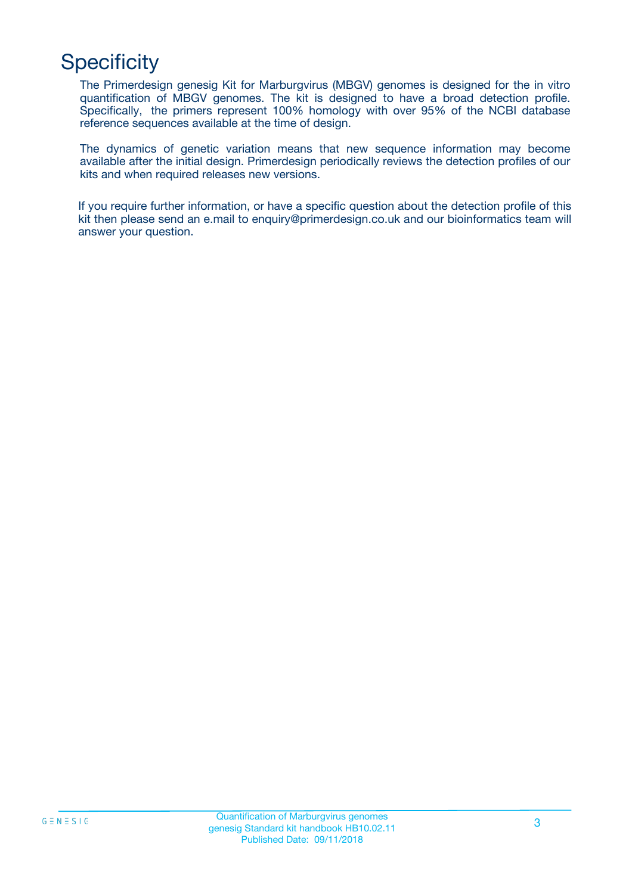## **Specificity**

The Primerdesign genesig Kit for Marburgvirus (MBGV) genomes is designed for the in vitro quantification of MBGV genomes. The kit is designed to have a broad detection profile. Specifically, the primers represent 100% homology with over 95% of the NCBI database reference sequences available at the time of design.

The dynamics of genetic variation means that new sequence information may become available after the initial design. Primerdesign periodically reviews the detection profiles of our kits and when required releases new versions.

If you require further information, or have a specific question about the detection profile of this kit then please send an e.mail to enquiry@primerdesign.co.uk and our bioinformatics team will answer your question.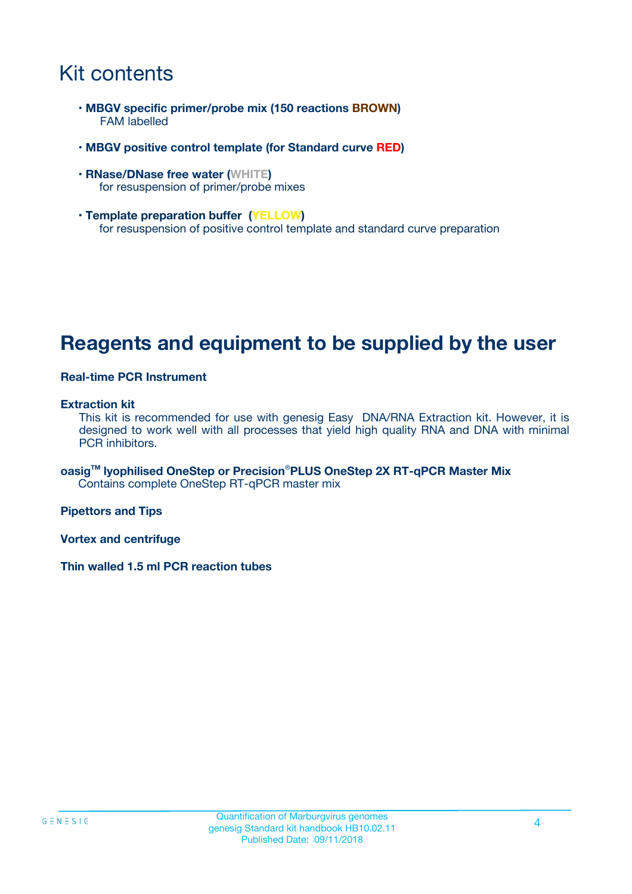## Kit contents

- **MBGV specific primer/probe mix (150 reactions BROWN)** FAM labelled
- **MBGV positive control template (for Standard curve RED)**
- **RNase/DNase free water (WHITE)** for resuspension of primer/probe mixes
- **Template preparation buffer (YELLOW)** for resuspension of positive control template and standard curve preparation

### **Reagents and equipment to be supplied by the user**

#### **Real-time PCR Instrument**

#### **Extraction kit**

This kit is recommended for use with genesig Easy DNA/RNA Extraction kit. However, it is designed to work well with all processes that yield high quality RNA and DNA with minimal PCR inhibitors.

**oasigTM lyophilised OneStep or Precision**®**PLUS OneStep 2X RT-qPCR Master Mix** Contains complete OneStep RT-qPCR master mix

**Pipettors and Tips**

**Vortex and centrifuge**

**Thin walled 1.5 ml PCR reaction tubes**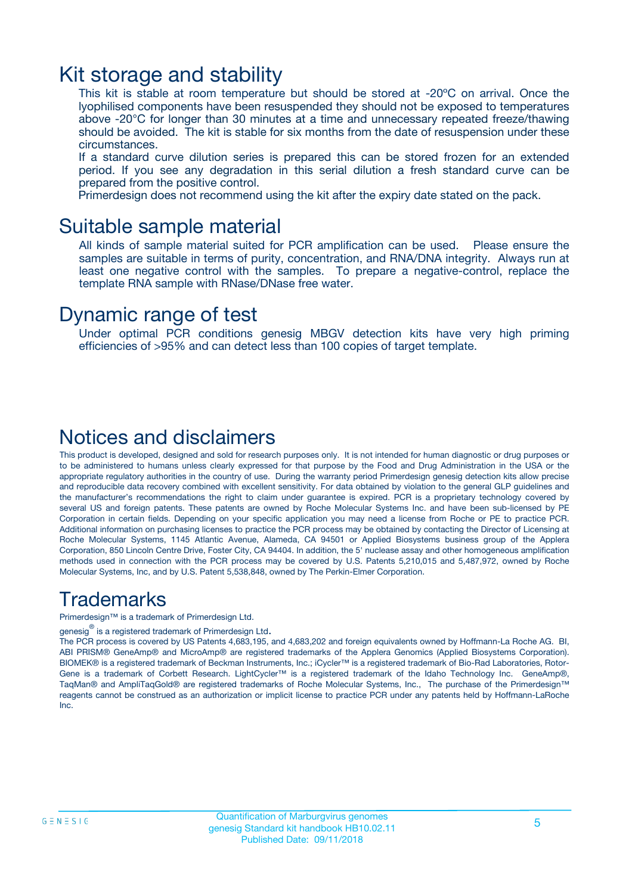### Kit storage and stability

This kit is stable at room temperature but should be stored at -20ºC on arrival. Once the lyophilised components have been resuspended they should not be exposed to temperatures above -20°C for longer than 30 minutes at a time and unnecessary repeated freeze/thawing should be avoided. The kit is stable for six months from the date of resuspension under these circumstances.

If a standard curve dilution series is prepared this can be stored frozen for an extended period. If you see any degradation in this serial dilution a fresh standard curve can be prepared from the positive control.

Primerdesign does not recommend using the kit after the expiry date stated on the pack.

### Suitable sample material

All kinds of sample material suited for PCR amplification can be used. Please ensure the samples are suitable in terms of purity, concentration, and RNA/DNA integrity. Always run at least one negative control with the samples. To prepare a negative-control, replace the template RNA sample with RNase/DNase free water.

### Dynamic range of test

Under optimal PCR conditions genesig MBGV detection kits have very high priming efficiencies of >95% and can detect less than 100 copies of target template.

### Notices and disclaimers

This product is developed, designed and sold for research purposes only. It is not intended for human diagnostic or drug purposes or to be administered to humans unless clearly expressed for that purpose by the Food and Drug Administration in the USA or the appropriate regulatory authorities in the country of use. During the warranty period Primerdesign genesig detection kits allow precise and reproducible data recovery combined with excellent sensitivity. For data obtained by violation to the general GLP guidelines and the manufacturer's recommendations the right to claim under guarantee is expired. PCR is a proprietary technology covered by several US and foreign patents. These patents are owned by Roche Molecular Systems Inc. and have been sub-licensed by PE Corporation in certain fields. Depending on your specific application you may need a license from Roche or PE to practice PCR. Additional information on purchasing licenses to practice the PCR process may be obtained by contacting the Director of Licensing at Roche Molecular Systems, 1145 Atlantic Avenue, Alameda, CA 94501 or Applied Biosystems business group of the Applera Corporation, 850 Lincoln Centre Drive, Foster City, CA 94404. In addition, the 5' nuclease assay and other homogeneous amplification methods used in connection with the PCR process may be covered by U.S. Patents 5,210,015 and 5,487,972, owned by Roche Molecular Systems, Inc, and by U.S. Patent 5,538,848, owned by The Perkin-Elmer Corporation.

### Trademarks

Primerdesign™ is a trademark of Primerdesign Ltd.

genesig $^\circledR$  is a registered trademark of Primerdesign Ltd.

The PCR process is covered by US Patents 4,683,195, and 4,683,202 and foreign equivalents owned by Hoffmann-La Roche AG. BI, ABI PRISM® GeneAmp® and MicroAmp® are registered trademarks of the Applera Genomics (Applied Biosystems Corporation). BIOMEK® is a registered trademark of Beckman Instruments, Inc.; iCycler™ is a registered trademark of Bio-Rad Laboratories, Rotor-Gene is a trademark of Corbett Research. LightCycler™ is a registered trademark of the Idaho Technology Inc. GeneAmp®, TaqMan® and AmpliTaqGold® are registered trademarks of Roche Molecular Systems, Inc., The purchase of the Primerdesign™ reagents cannot be construed as an authorization or implicit license to practice PCR under any patents held by Hoffmann-LaRoche Inc.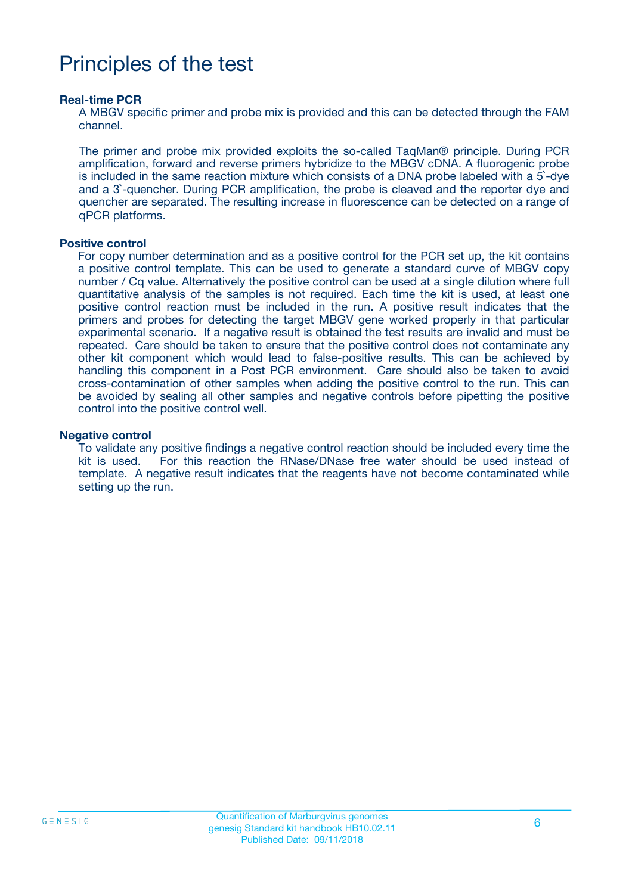## Principles of the test

#### **Real-time PCR**

A MBGV specific primer and probe mix is provided and this can be detected through the FAM channel.

The primer and probe mix provided exploits the so-called TaqMan® principle. During PCR amplification, forward and reverse primers hybridize to the MBGV cDNA. A fluorogenic probe is included in the same reaction mixture which consists of a DNA probe labeled with a 5`-dye and a 3`-quencher. During PCR amplification, the probe is cleaved and the reporter dye and quencher are separated. The resulting increase in fluorescence can be detected on a range of qPCR platforms.

#### **Positive control**

For copy number determination and as a positive control for the PCR set up, the kit contains a positive control template. This can be used to generate a standard curve of MBGV copy number / Cq value. Alternatively the positive control can be used at a single dilution where full quantitative analysis of the samples is not required. Each time the kit is used, at least one positive control reaction must be included in the run. A positive result indicates that the primers and probes for detecting the target MBGV gene worked properly in that particular experimental scenario. If a negative result is obtained the test results are invalid and must be repeated. Care should be taken to ensure that the positive control does not contaminate any other kit component which would lead to false-positive results. This can be achieved by handling this component in a Post PCR environment. Care should also be taken to avoid cross-contamination of other samples when adding the positive control to the run. This can be avoided by sealing all other samples and negative controls before pipetting the positive control into the positive control well.

#### **Negative control**

To validate any positive findings a negative control reaction should be included every time the kit is used. For this reaction the RNase/DNase free water should be used instead of template. A negative result indicates that the reagents have not become contaminated while setting up the run.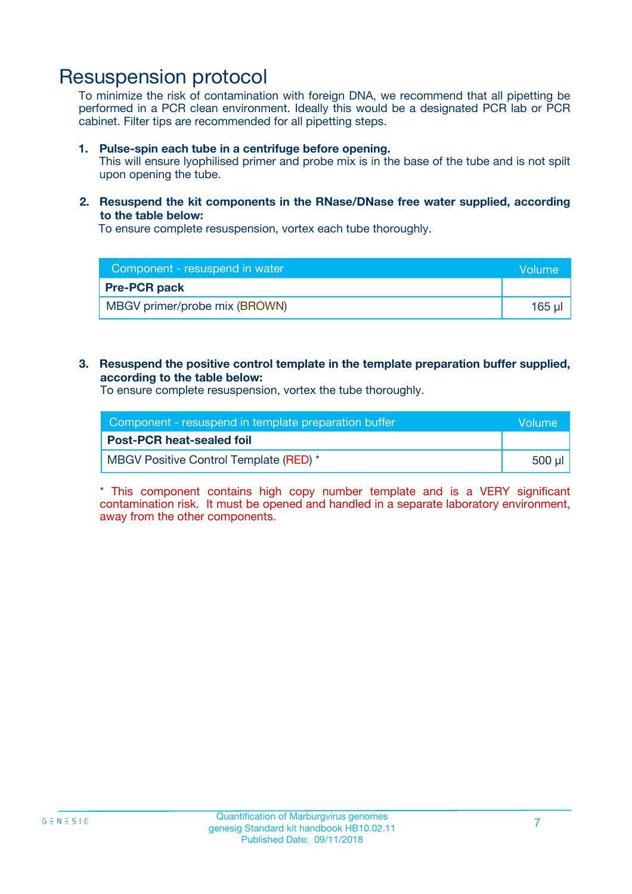### Resuspension protocol

To minimize the risk of contamination with foreign DNA, we recommend that all pipetting be performed in a PCR clean environment. Ideally this would be a designated PCR lab or PCR cabinet. Filter tips are recommended for all pipetting steps.

#### **1. Pulse-spin each tube in a centrifuge before opening.**

This will ensure lyophilised primer and probe mix is in the base of the tube and is not spilt upon opening the tube.

#### **2. Resuspend the kit components in the RNase/DNase free water supplied, according to the table below:**

To ensure complete resuspension, vortex each tube thoroughly.

| Component - resuspend in water | <b>Nolume</b> |
|--------------------------------|---------------|
| <b>Pre-PCR pack</b>            |               |
| MBGV primer/probe mix (BROWN)  | $165$ $\mu$   |

#### **3. Resuspend the positive control template in the template preparation buffer supplied, according to the table below:**

To ensure complete resuspension, vortex the tube thoroughly.

| Component - resuspend in template preparation buffer |         |  |
|------------------------------------------------------|---------|--|
| <b>Post-PCR heat-sealed foil</b>                     |         |  |
| MBGV Positive Control Template (RED) *               | .500 ul |  |

\* This component contains high copy number template and is a VERY significant contamination risk. It must be opened and handled in a separate laboratory environment, away from the other components.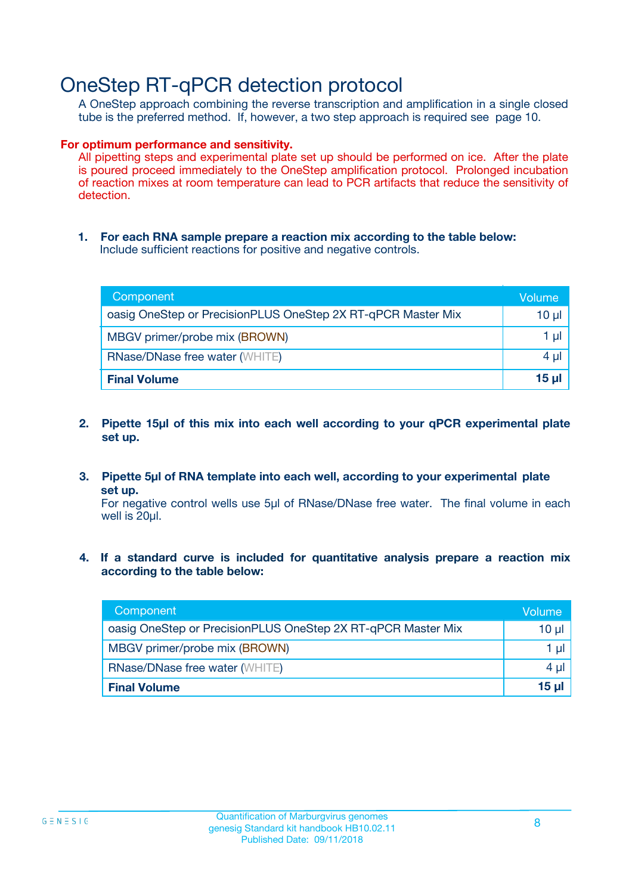### OneStep RT-qPCR detection protocol

A OneStep approach combining the reverse transcription and amplification in a single closed tube is the preferred method. If, however, a two step approach is required see page 10.

#### **For optimum performance and sensitivity.**

All pipetting steps and experimental plate set up should be performed on ice. After the plate is poured proceed immediately to the OneStep amplification protocol. Prolonged incubation of reaction mixes at room temperature can lead to PCR artifacts that reduce the sensitivity of detection.

**1. For each RNA sample prepare a reaction mix according to the table below:** Include sufficient reactions for positive and negative controls.

| Component                                                    | Volume       |
|--------------------------------------------------------------|--------------|
| oasig OneStep or PrecisionPLUS OneStep 2X RT-qPCR Master Mix | 10 µl        |
| MBGV primer/probe mix (BROWN)                                | 1 µl         |
| <b>RNase/DNase free water (WHITE)</b>                        | 4 µl         |
| <b>Final Volume</b>                                          | <u>15 µl</u> |

- **2. Pipette 15µl of this mix into each well according to your qPCR experimental plate set up.**
- **3. Pipette 5µl of RNA template into each well, according to your experimental plate set up.**

For negative control wells use 5µl of RNase/DNase free water. The final volume in each well is 20ul.

**4. If a standard curve is included for quantitative analysis prepare a reaction mix according to the table below:**

| Component                                                    | Volume  |
|--------------------------------------------------------------|---------|
| oasig OneStep or PrecisionPLUS OneStep 2X RT-qPCR Master Mix | 10 µl   |
| MBGV primer/probe mix (BROWN)                                | 1 ul    |
| <b>RNase/DNase free water (WHITE)</b>                        | $4 \mu$ |
| <b>Final Volume</b>                                          | 15 ul   |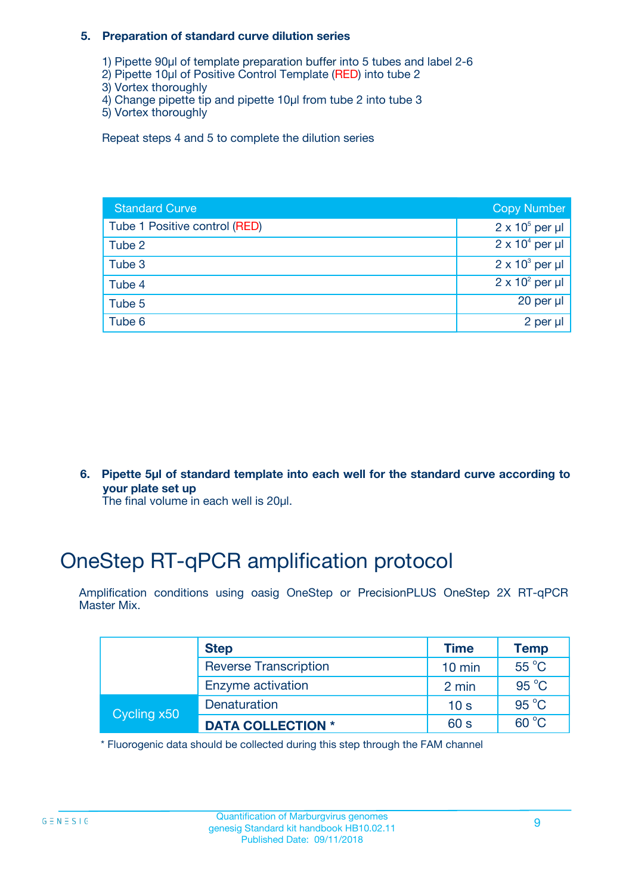#### **5. Preparation of standard curve dilution series**

- 1) Pipette 90µl of template preparation buffer into 5 tubes and label 2-6
- 2) Pipette 10µl of Positive Control Template (RED) into tube 2
- 3) Vortex thoroughly
- 4) Change pipette tip and pipette 10µl from tube 2 into tube 3
- 5) Vortex thoroughly

Repeat steps 4 and 5 to complete the dilution series

| <b>Standard Curve</b>         | <b>Copy Number</b>     |
|-------------------------------|------------------------|
| Tube 1 Positive control (RED) | $2 \times 10^5$ per µl |
| Tube 2                        | $2 \times 10^4$ per µl |
| Tube 3                        | $2 \times 10^3$ per µl |
| Tube 4                        | $2 \times 10^2$ per µl |
| Tube 5                        | 20 per $\mu$           |
| Tube 6                        | 2 per µl               |

**6. Pipette 5µl of standard template into each well for the standard curve according to your plate set up**

The final volume in each well is 20ul.

## OneStep RT-qPCR amplification protocol

Amplification conditions using oasig OneStep or PrecisionPLUS OneStep 2X RT-qPCR Master Mix.

|             | <b>Step</b>                  | <b>Time</b>      | <b>Temp</b>    |
|-------------|------------------------------|------------------|----------------|
|             | <b>Reverse Transcription</b> | $10 \text{ min}$ | $55^{\circ}$ C |
|             | Enzyme activation            | 2 min            | $95^{\circ}$ C |
| Cycling x50 | Denaturation                 | 10 <sub>s</sub>  | $95^{\circ}$ C |
|             | <b>DATA COLLECTION *</b>     | 60 s             | $60^{\circ}$ C |

\* Fluorogenic data should be collected during this step through the FAM channel